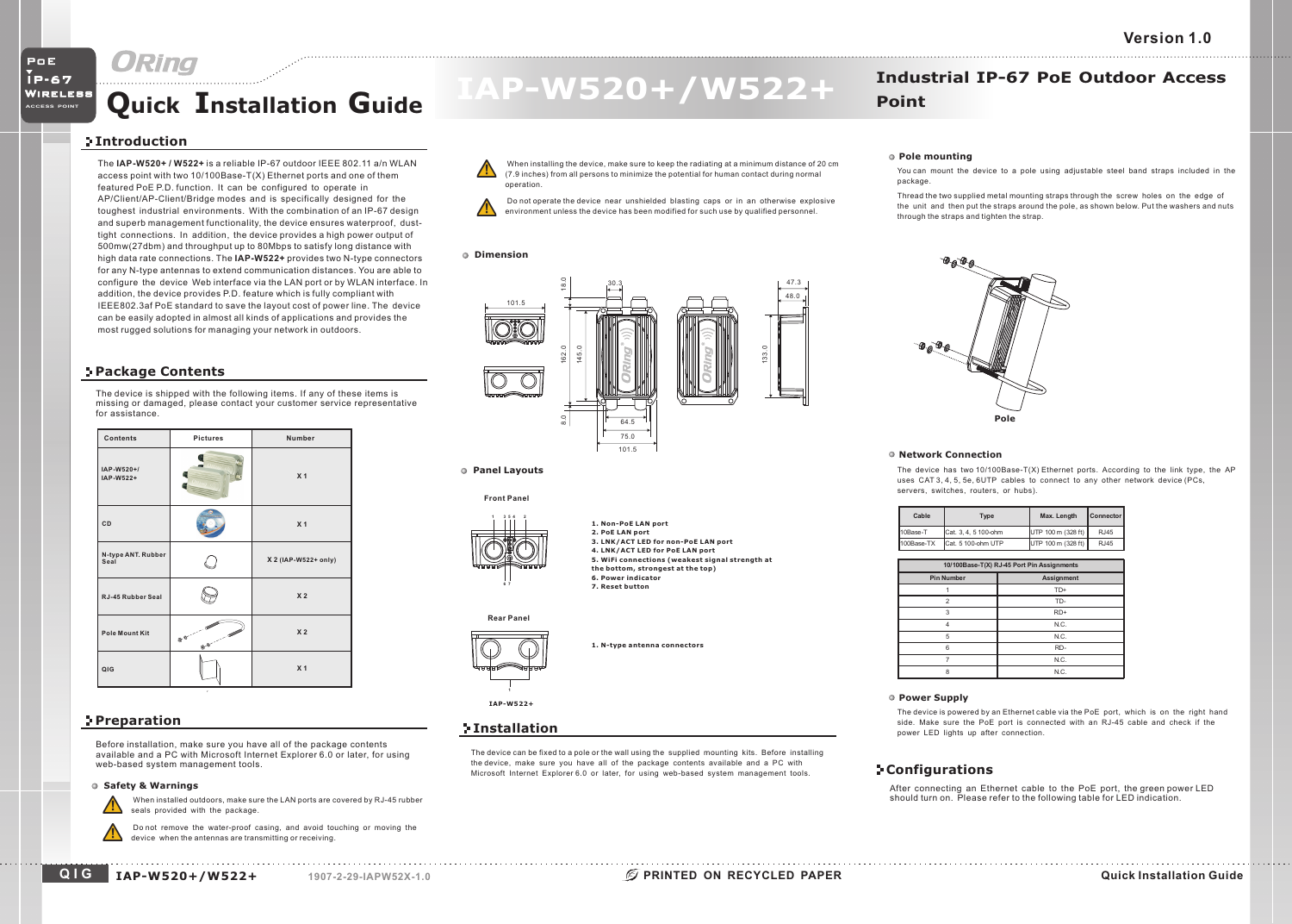# **Quick Installation Guide MALLER WIRELESS AND ACCET Poin**

## **Introduction**

The is a reliable IP-67 outdoor IEEE 802.11 a/n WLAN**IAP-W520+ / W522+**access point with two 10/100Base-T(X) Ethernet ports and one of them featured PoE P.D. function. It can be configured to operate in AP/Client/AP-Client/Bridge modes and is specifically designed for the toughest industrial environments. With the combination of an IP-67 design and superb management functionality, the device ensures waterproof, dusttight connections. In addition, the device provides <sup>a</sup> high power output of 500mw(27dbm) and throughput up to 80Mbps to satisfy long distance with high data rate connections. The **IAP-W522+** provides two N-type connectors for any N-type antennas to extend communication distances. You are able to configure the device Web interface via the LAN port or by WLAN interface. In addition, the device provides P.D. feature which is fully compliant with IEEE802.3af PoE standard to save the layout cost of power line. The device can be easily adopted in almost all kinds of applications and provides the most rugged solutions for managing your network in outdoors.

## **Package Contents**

The device is shipped with the following items. If any of these items is missing or damaged, please contact your customer service representative for assistance.



## **Preparation**

Before installation, make sure you have all of the package contents available and <sup>a</sup> PC with Microsoft Internet Explorer 6.0 or later, for using web-based system management tools.

#### **Safety & Warnings**

When installed outdoors, make sure the LAN ports are covered by RJ-45 rubber seals provided with the package.

Do not remove the water-proof casing, and avoid touching or moving the device when the antennas are transmitting or receiving.

# $IAP-W520+ / W522+$  **Industrial IP-67 PoE Outdoor Access**

- When installing the device, make sure to keep the radiating at <sup>a</sup> minimum distance of 20 cm (7.9 inches) from all persons to minimize the potential for human contact during normal operation.
- Do not operate the device near unshielded blasting caps or in an otherwise explosive environment unless the device has been modified for such use by qualified personnel.

### **Dimension**



**1. Non-PoE LAN port**

**Panel Layouts**

### **Front Panel**



**2. PoE LAN port 3. LNK/ACT LED for non-PoE LAN port 4. LNK/ACT LED for PoE LAN port 5. WiFi connections (weakest signal strength at the bottom, strongest at the top) 6. Power indicator7. Reset button**

### **Rear Panel**

**6 7**



**1. N-type antenna connectors**

#### **1IAP-W522+**

## **Installation**

The device can be fixed to <sup>a</sup> pole or the wall using the supplied mounting kits. Before installing the device, make sure you have all of the package contents available and <sup>a</sup> PC with Microsoft Internet Explorer 6.0 or later, for using web-based system management tools.

#### **Pole mounting**

You can mount the device to <sup>a</sup> pole using adjustable steel band straps included in the package.

Thread the two supplied metal mounting straps through the screw holes on the edge of the unit and then put the straps around the pole, as shown below. Put the washers and nuts through the straps and tighten the strap.



#### **Network Connection**

The device has two 10/100Base-T(X) Ethernet ports. According to the link type, the AP uses CAT 3, 4, 5, 5e, 6UTP cables to connect to any other network device (PCs, servers, switches, routers, or hubs).

| Cable      | <b>Type</b>         | Max. Length        | <b>Connector</b> |
|------------|---------------------|--------------------|------------------|
| 10Base-T   | ICat. 3.4.5 100-ohm | UTP 100 m (328 ft) | <b>RJ45</b>      |
| 100Base-TX | Cat. 5 100-ohm UTP  | UTP 100 m (328 ft) | R.J45            |

| 10/100Base-T(X) RJ-45 Port Pin Assignments |            |  |
|--------------------------------------------|------------|--|
| <b>Pin Number</b>                          | Assignment |  |
|                                            | TD+        |  |
| 2                                          | TD-        |  |
| 3                                          | RD+        |  |
| 4                                          | N.C.       |  |
| 5                                          | N.C.       |  |
| 6                                          | RD-        |  |
| 7                                          | N.C.       |  |
| 8                                          | N.C.       |  |

#### **Power Supply**

The device is powered by an Ethernet cable via the PoE port, which is on the right hand side. Make sure the PoE port is connected with an RJ-45 cable and check if the power LED lights up after connection.

## **Configurations**

After connecting an Ethernet cable to the PoE port, the green power LED should turn on. Please refer to the following table for LED indication.